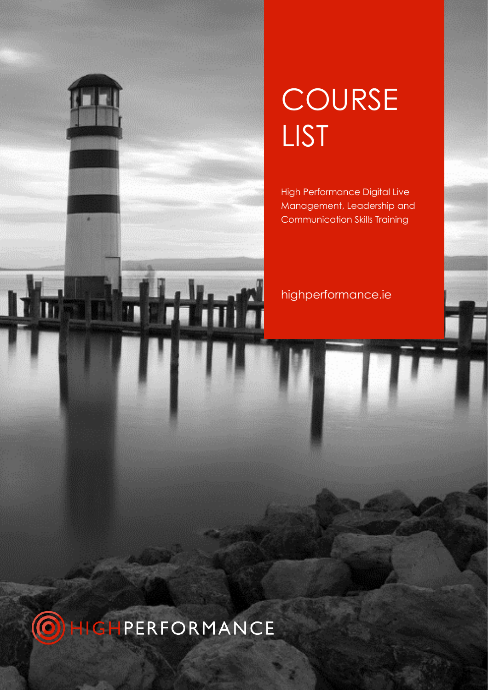# **COURSE** LIST

High Performance Digital Live Management, Leadership and Communication Skills Training

### highperformance.ie

din fi

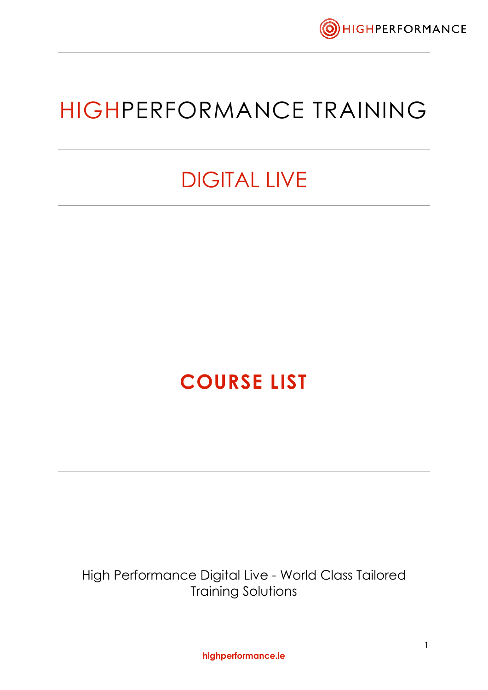

### HIGHPERFORMANCE TRAINING

### DIGITAL LIVE

### **COURSE LIST**

High Performance Digital Live - World Class Tailored Training Solutions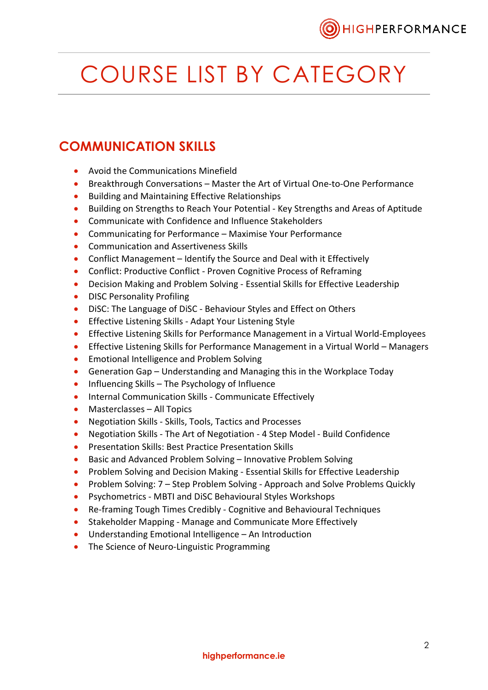

## COURSE LIST BY CATEGORY

#### **COMMUNICATION SKILLS**

- Avoid the Communications Minefield
- Breakthrough Conversations Master the Art of Virtual One-to-One Performance
- Building and Maintaining Effective Relationships
- Building on Strengths to Reach Your Potential Key Strengths and Areas of Aptitude
- Communicate with Confidence and Influence Stakeholders
- Communicating for Performance Maximise Your Performance
- Communication and Assertiveness Skills
- Conflict Management Identify the Source and Deal with it Effectively
- Conflict: Productive Conflict Proven Cognitive Process of Reframing
- Decision Making and Problem Solving Essential Skills for Effective Leadership
- DISC Personality Profiling
- DiSC: The Language of DiSC Behaviour Styles and Effect on Others
- Effective Listening Skills Adapt Your Listening Style
- Effective Listening Skills for Performance Management in a Virtual World-Employees
- Effective Listening Skills for Performance Management in a Virtual World Managers
- Emotional Intelligence and Problem Solving
- Generation Gap Understanding and Managing this in the Workplace Today
- Influencing Skills The Psychology of Influence
- Internal Communication Skills Communicate Effectively
- Masterclasses All Topics
- Negotiation Skills Skills, Tools, Tactics and Processes
- Negotiation Skills The Art of Negotiation 4 Step Model Build Confidence
- Presentation Skills: Best Practice Presentation Skills
- Basic and Advanced Problem Solving Innovative Problem Solving
- Problem Solving and Decision Making Essential Skills for Effective Leadership
- Problem Solving: 7 Step Problem Solving Approach and Solve Problems Quickly
- Psychometrics MBTI and DiSC Behavioural Styles Workshops
- Re-framing Tough Times Credibly Cognitive and Behavioural Techniques
- Stakeholder Mapping Manage and Communicate More Effectively
- Understanding Emotional Intelligence An Introduction
- The Science of Neuro-Linguistic Programming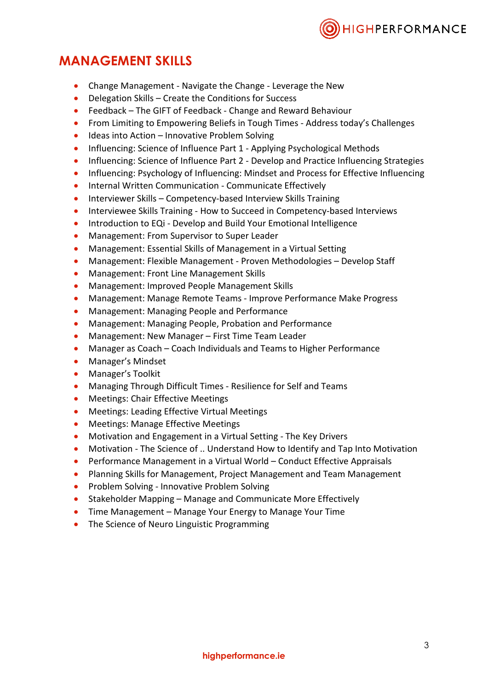

#### **MANAGEMENT SKILLS**

- Change Management Navigate the Change Leverage the New
- Delegation Skills Create the Conditions for Success
- Feedback The GIFT of Feedback Change and Reward Behaviour
- From Limiting to Empowering Beliefs in Tough Times Address today's Challenges
- Ideas into Action Innovative Problem Solving
- Influencing: Science of Influence Part 1 Applying Psychological Methods
- Influencing: Science of Influence Part 2 Develop and Practice Influencing Strategies
- Influencing: Psychology of Influencing: Mindset and Process for Effective Influencing
- Internal Written Communication Communicate Effectively
- Interviewer Skills Competency-based Interview Skills Training
- Interviewee Skills Training How to Succeed in Competency-based Interviews
- Introduction to EQi Develop and Build Your Emotional Intelligence
- Management: From Supervisor to Super Leader
- Management: Essential Skills of Management in a Virtual Setting
- Management: Flexible Management Proven Methodologies Develop Staff
- Management: Front Line Management Skills
- Management: Improved People Management Skills
- Management: Manage Remote Teams Improve Performance Make Progress
- Management: Managing People and Performance
- Management: Managing People, Probation and Performance
- Management: New Manager First Time Team Leader
- Manager as Coach Coach Individuals and Teams to Higher Performance
- Manager's Mindset
- Manager's Toolkit
- Managing Through Difficult Times Resilience for Self and Teams
- Meetings: Chair Effective Meetings
- Meetings: Leading Effective Virtual Meetings
- Meetings: Manage Effective Meetings
- Motivation and Engagement in a Virtual Setting The Key Drivers
- Motivation The Science of .. Understand How to Identify and Tap Into Motivation
- Performance Management in a Virtual World Conduct Effective Appraisals
- Planning Skills for Management, Project Management and Team Management
- Problem Solving Innovative Problem Solving
- Stakeholder Mapping Manage and Communicate More Effectively
- Time Management Manage Your Energy to Manage Your Time
- The Science of Neuro Linguistic Programming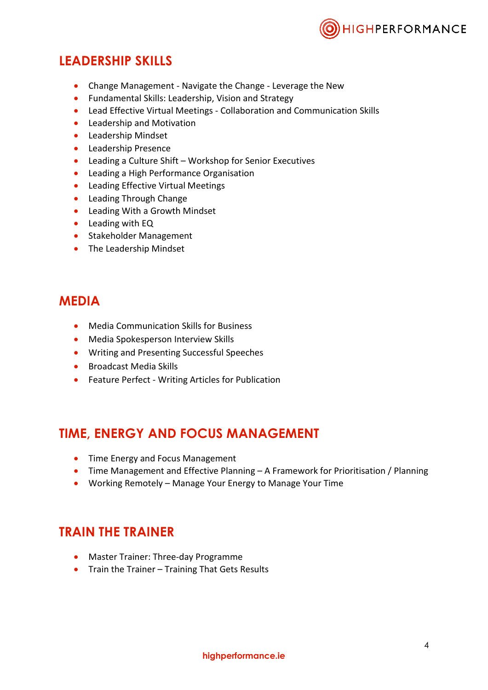

#### **LEADERSHIP SKILLS**

- Change Management Navigate the Change Leverage the New
- Fundamental Skills: Leadership, Vision and Strategy
- Lead Effective Virtual Meetings Collaboration and Communication Skills
- Leadership and Motivation
- Leadership Mindset
- Leadership Presence
- Leading a Culture Shift Workshop for Senior Executives
- Leading a High Performance Organisation
- Leading Effective Virtual Meetings
- Leading Through Change
- Leading With a Growth Mindset
- Leading with EQ
- Stakeholder Management
- The Leadership Mindset

#### **MEDIA**

- Media Communication Skills for Business
- Media Spokesperson Interview Skills
- Writing and Presenting Successful Speeches
- Broadcast Media Skills
- Feature Perfect Writing Articles for Publication

#### **TIME, ENERGY AND FOCUS MANAGEMENT**

- Time Energy and Focus Management
- Time Management and Effective Planning A Framework for Prioritisation / Planning
- Working Remotely Manage Your Energy to Manage Your Time

#### **TRAIN THE TRAINER**

- Master Trainer: Three-day Programme
- Train the Trainer Training That Gets Results